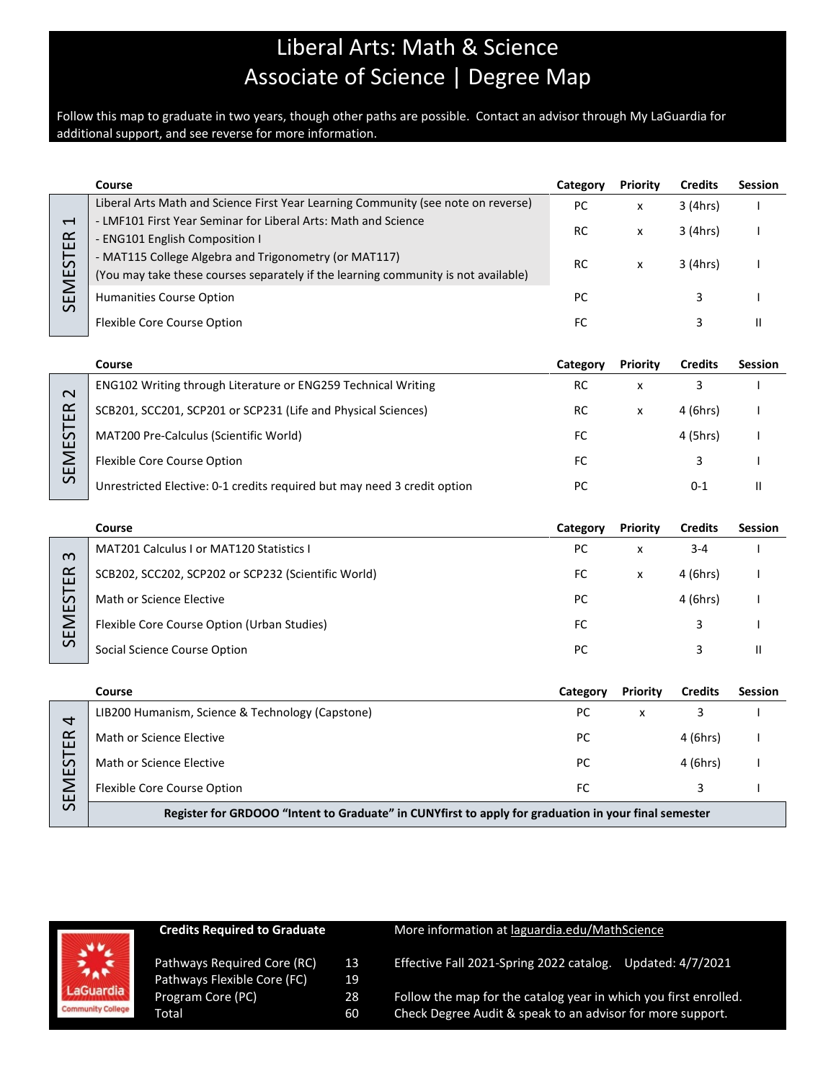## Liberal Arts: Math & Science Associate of Science | Degree Map

Follow this map to graduate in two years, though other paths are possible. Contact an advisor through My LaGuardia for additional support, and see reverse for more information.

|                                                                 | Course                                                                                                                                      | Category | <b>Priority</b> | <b>Credits</b> | <b>Session</b> |
|-----------------------------------------------------------------|---------------------------------------------------------------------------------------------------------------------------------------------|----------|-----------------|----------------|----------------|
|                                                                 | Liberal Arts Math and Science First Year Learning Community (see note on reverse)                                                           | PC       | x               | 3 (4hrs)       |                |
| $\overline{\phantom{0}}$<br>$\propto$<br>ш<br>EMEST<br>$\Omega$ | - LMF101 First Year Seminar for Liberal Arts: Math and Science<br>- ENG101 English Composition I                                            | RC       | x               | 3 (4hrs)       |                |
|                                                                 | - MAT115 College Algebra and Trigonometry (or MAT117)<br>(You may take these courses separately if the learning community is not available) | RC       | x               | 3 (4hrs)       |                |
|                                                                 | <b>Humanities Course Option</b>                                                                                                             | РC       |                 |                |                |
|                                                                 | Flexible Core Course Option                                                                                                                 | FC       |                 |                |                |

|              | Course                                                                   | Category | <b>Priority</b> | <b>Credits</b> | <b>Session</b> |
|--------------|--------------------------------------------------------------------------|----------|-----------------|----------------|----------------|
| $\sim$       | <b>ENG102 Writing through Literature or ENG259 Technical Writing</b>     | RC       | x               |                |                |
| ≃<br>ш       | SCB201, SCC201, SCP201 or SCP231 (Life and Physical Sciences)            | RC       | x               | 4 (6hrs)       |                |
| –<br>S<br>шi | MAT200 Pre-Calculus (Scientific World)                                   | FC       |                 | 4 (5hrs)       |                |
|              | <b>Flexible Core Course Option</b>                                       | FC       |                 |                |                |
| ₩            | Unrestricted Elective: 0-1 credits required but may need 3 credit option | PC       |                 | 0-1            |                |

|                                                      | Course                                              | Category | <b>Priority</b> | <b>Credits</b> | <b>Session</b> |
|------------------------------------------------------|-----------------------------------------------------|----------|-----------------|----------------|----------------|
| $\omega$<br>$\alpha$<br>ш<br>S<br>ш<br>ш<br>$\Omega$ | <b>MAT201 Calculus I or MAT120 Statistics I</b>     | PC       | x               | $3 - 4$        |                |
|                                                      | SCB202, SCC202, SCP202 or SCP232 (Scientific World) | FC       | x               | 4 (6hrs)       |                |
|                                                      | Math or Science Elective                            | PC       |                 | 4 (6hrs)       |                |
|                                                      | Flexible Core Course Option (Urban Studies)         | FC       |                 |                |                |
|                                                      | Social Science Course Option                        | РC       |                 |                |                |

|                    | Course                                                                                               | Category | <b>Priority</b> | <b>Credits</b> | <b>Session</b> |
|--------------------|------------------------------------------------------------------------------------------------------|----------|-----------------|----------------|----------------|
| 4                  | LIB200 Humanism, Science & Technology (Capstone)                                                     | РC       | x               |                |                |
| $\propto$<br>ш     | Math or Science Elective                                                                             | РC       |                 | 4 (6hrs)       |                |
| 5<br>ш             | Math or Science Elective                                                                             | PC       |                 | 4 (6hrs)       |                |
| Σ<br>ш<br>$\Omega$ | Flexible Core Course Option                                                                          | FC       |                 |                |                |
|                    | Register for GRDOOO "Intent to Graduate" in CUNYfirst to apply for graduation in your final semester |          |                 |                |                |

|                          | <b>Credits Required to Graduate</b> |    | More information at laguardia.edu/MathScience                    |
|--------------------------|-------------------------------------|----|------------------------------------------------------------------|
| 禁                        | Pathways Required Core (RC)         | 13 | Effective Fall 2021-Spring 2022 catalog.                         |
|                          | Pathways Flexible Core (FC)         | 19 | Updated: 4/7/2021                                                |
| LaGuardia                | Program Core (PC)                   | 28 | Follow the map for the catalog year in which you first enrolled. |
| <b>Community College</b> | Total                               | 60 | Check Degree Audit & speak to an advisor for more support.       |